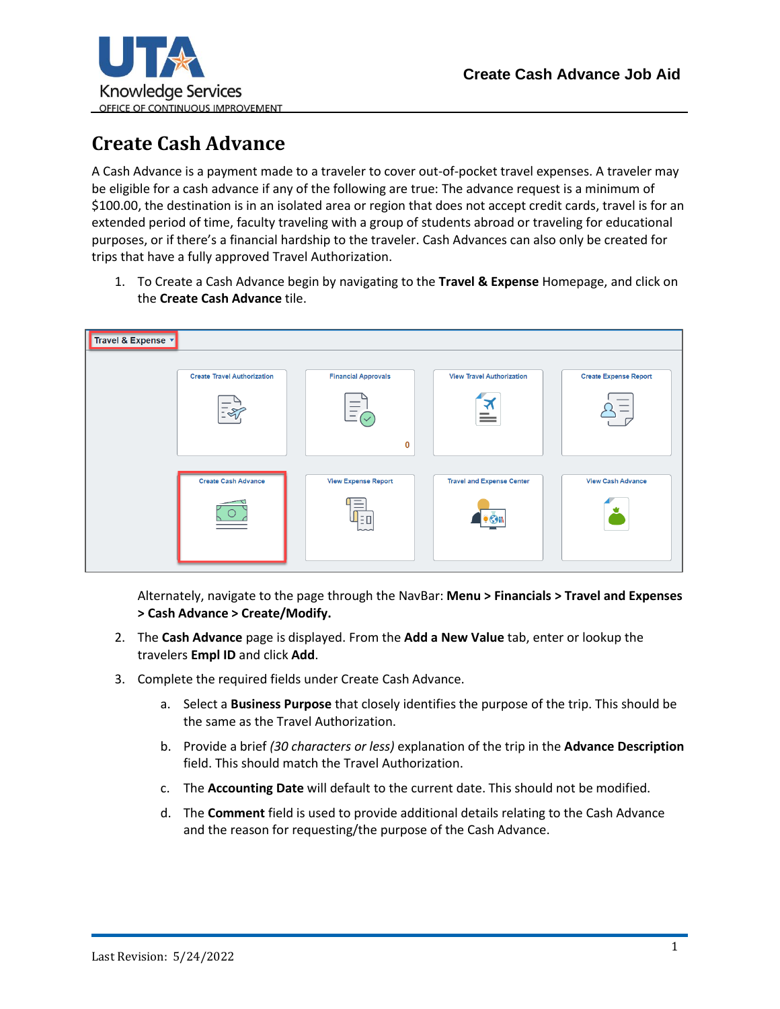

## **Create Cash Advance**

A Cash Advance is a payment made to a traveler to cover out-of-pocket travel expenses. A traveler may be eligible for a cash advance if any of the following are true: The advance request is a minimum of \$100.00, the destination is in an isolated area or region that does not accept credit cards, travel is for an extended period of time, faculty traveling with a group of students abroad or traveling for educational purposes, or if there's a financial hardship to the traveler. Cash Advances can also only be created for trips that have a fully approved Travel Authorization.

1. To Create a Cash Advance begin by navigating to the **Travel & Expense** Homepage, and click on the **Create Cash Advance** tile.



Alternately, navigate to the page through the NavBar: **Menu > Financials > Travel and Expenses > Cash Advance > Create/Modify.**

- 2. The **Cash Advance** page is displayed. From the **Add a New Value** tab, enter or lookup the travelers **Empl ID** and click **Add**.
- 3. Complete the required fields under Create Cash Advance.
	- a. Select a **Business Purpose** that closely identifies the purpose of the trip. This should be the same as the Travel Authorization.
	- b. Provide a brief *(30 characters or less)* explanation of the trip in the **Advance Description**  field. This should match the Travel Authorization.
	- c. The **Accounting Date** will default to the current date. This should not be modified.
	- d. The **Comment** field is used to provide additional details relating to the Cash Advance and the reason for requesting/the purpose of the Cash Advance.